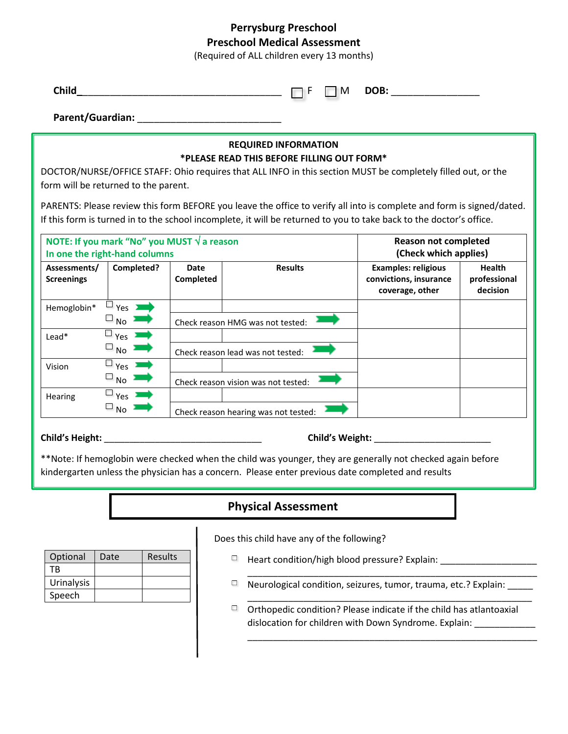## **Perrysburg Preschool Preschool Medical Assessment**

(Required of ALL children every 13 months)

| Child |  | ™ ⊓ | DOB:<br>$  -$ |
|-------|--|-----|---------------|
|-------|--|-----|---------------|

Parent/Guardian:

### **REQUIRED INFORMATION \*PLEASE READ THIS BEFORE FILLING OUT FORM\***

DOCTOR/NURSE/OFFICE STAFF: Ohio requires that ALL INFO in this section MUST be completely filled out, or the form will be returned to the parent.

PARENTS: Please review this form BEFORE you leave the office to verify all into is complete and form is signed/dated. If this form is turned in to the school incomplete, it will be returned to you to take back to the doctor's office.

| NOTE: If you mark "No" you MUST $\sqrt{a}$ reason<br>In one the right-hand columns |                   |                   | <b>Reason not completed</b><br>(Check which applies) |                                                                         |                                           |
|------------------------------------------------------------------------------------|-------------------|-------------------|------------------------------------------------------|-------------------------------------------------------------------------|-------------------------------------------|
| Assessments/<br><b>Screenings</b>                                                  | Completed?        | Date<br>Completed | <b>Results</b>                                       | <b>Examples: religious</b><br>convictions, insurance<br>coverage, other | <b>Health</b><br>professional<br>decision |
| Hemoglobin*                                                                        | $Yes$ $\sum$      |                   |                                                      |                                                                         |                                           |
|                                                                                    | $\square$ No      |                   | Check reason HMG was not tested:                     |                                                                         |                                           |
| Lead*                                                                              | $\Box$ Yes $\Box$ |                   |                                                      |                                                                         |                                           |
|                                                                                    | $\Box_{\rm No}$   |                   | Check reason lead was not tested:                    |                                                                         |                                           |
| Vision                                                                             | $\Box$ Yes $\Box$ |                   |                                                      |                                                                         |                                           |
|                                                                                    | $\Box$ No $\Box$  |                   | Check reason vision was not tested:                  |                                                                         |                                           |
| Hearing                                                                            | $\Box$ Yes $\Box$ |                   |                                                      |                                                                         |                                           |
|                                                                                    | $\square$ No      |                   | Check reason hearing was not tested:                 |                                                                         |                                           |

#### **Child's Height:** \_\_\_\_\_\_\_\_\_\_\_\_\_\_\_\_\_\_\_\_\_\_\_\_\_\_\_\_\_\_\_ **Child's Weight:** \_\_\_\_\_\_\_\_\_\_\_\_\_\_\_\_\_\_\_\_\_\_\_

\*\*Note: If hemoglobin were checked when the child was younger, they are generally not checked again before kindergarten unless the physician has a concern. Please enter previous date completed and results

# **Physical Assessment**

| Optional          | Date | <b>Results</b> |
|-------------------|------|----------------|
|                   |      |                |
| ТR                |      |                |
| <b>Urinalysis</b> |      |                |
| Speech            |      |                |

Does this child have any of the following?

- Heart condition/high blood pressure? Explain: \_\_\_\_\_\_\_\_\_\_\_\_\_\_\_\_\_\_\_
- $\Box$  Neurological condition, seizures, tumor, trauma, etc.? Explain: \_\_\_\_\_

\_\_\_\_\_\_\_\_\_\_\_\_\_\_\_\_\_\_\_\_\_\_\_\_\_\_\_\_\_\_\_\_\_\_\_\_\_\_\_\_\_\_\_\_\_\_\_\_\_\_\_\_\_\_\_\_\_

\_\_\_\_\_\_\_\_\_\_\_\_\_\_\_\_\_\_\_\_\_\_\_\_\_\_\_\_\_\_\_\_\_\_\_\_\_\_\_\_\_\_\_\_\_\_\_\_\_\_\_\_\_\_\_\_\_

\_\_\_\_\_\_\_\_\_\_\_\_\_\_\_\_\_\_\_\_\_\_\_\_\_\_\_\_\_\_\_\_\_\_\_\_\_\_\_\_\_\_\_\_\_\_\_\_\_\_\_\_\_\_\_\_  $\Box$  Orthopedic condition? Please indicate if the child has atlantoaxial dislocation for children with Down Syndrome. Explain: \_\_\_\_\_\_\_\_\_\_